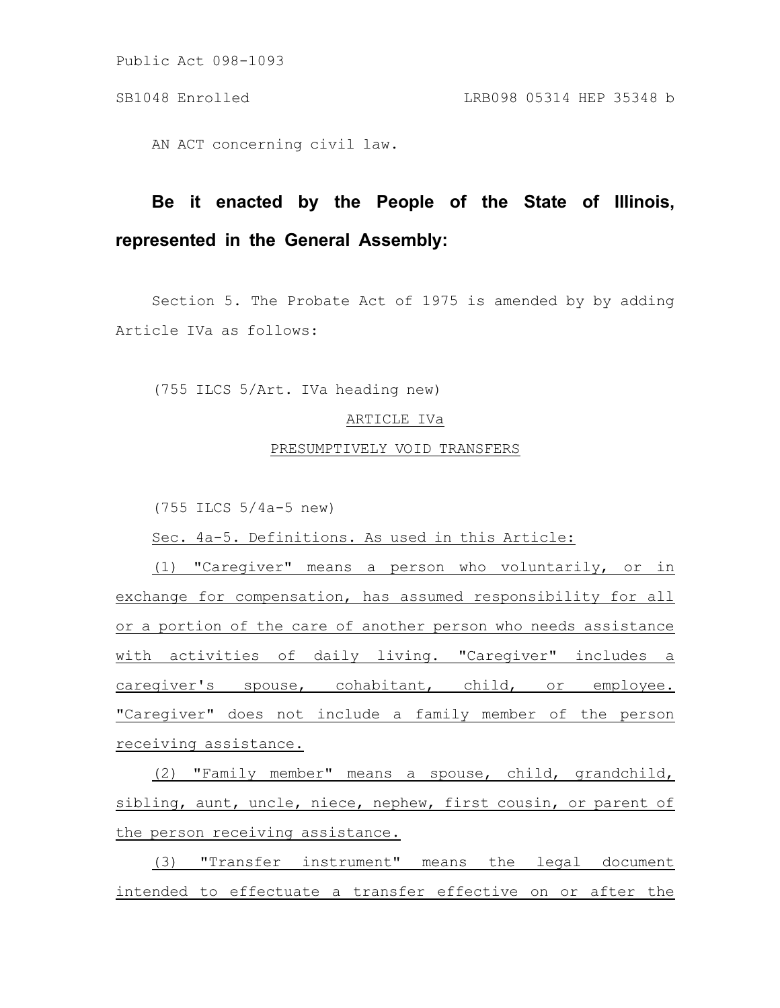## SB1048 Enrolled LRB098 05314 HEP 35348 b

AN ACT concerning civil law.

# **Be it enacted by the People of the State of Illinois, represented in the General Assembly:**

Section 5. The Probate Act of 1975 is amended by by adding Article IVa as follows:

(755 ILCS 5/Art. IVa heading new)

## ARTICLE IVa

# PRESUMPTIVELY VOID TRANSFERS

(755 ILCS 5/4a-5 new)

Sec. 4a-5. Definitions. As used in this Article:

(1) "Caregiver" means a person who voluntarily, or in exchange for compensation, has assumed responsibility for all or a portion of the care of another person who needs assistance with activities of daily living. "Caregiver" includes a caregiver's spouse, cohabitant, child, or employee. "Caregiver" does not include a family member of the person receiving assistance.

(2) "Family member" means a spouse, child, grandchild, sibling, aunt, uncle, niece, nephew, first cousin, or parent of the person receiving assistance.

(3) "Transfer instrument" means the legal document intended to effectuate a transfer effective on or after the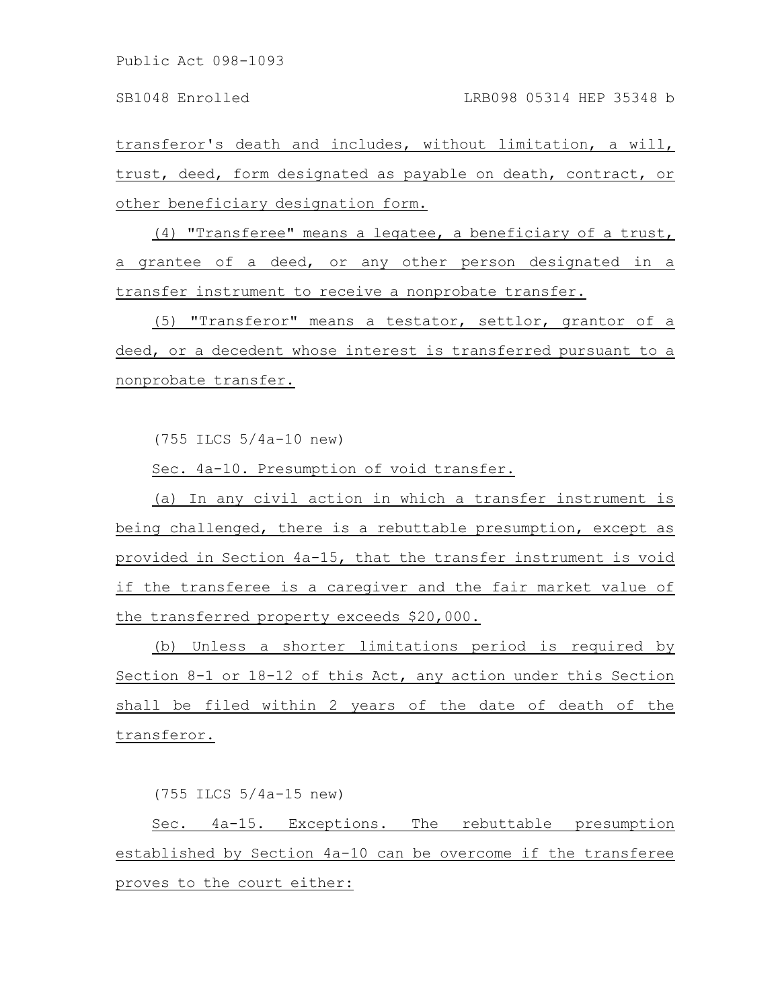transferor's death and includes, without limitation, a will, trust, deed, form designated as payable on death, contract, or other beneficiary designation form.

(4) "Transferee" means a legatee, a beneficiary of a trust, a grantee of a deed, or any other person designated in a transfer instrument to receive a nonprobate transfer.

(5) "Transferor" means a testator, settlor, grantor of a deed, or a decedent whose interest is transferred pursuant to a nonprobate transfer.

(755 ILCS 5/4a-10 new)

Sec. 4a-10. Presumption of void transfer.

(a) In any civil action in which a transfer instrument is being challenged, there is a rebuttable presumption, except as provided in Section 4a-15, that the transfer instrument is void if the transferee is a caregiver and the fair market value of the transferred property exceeds \$20,000.

(b) Unless a shorter limitations period is required by Section 8-1 or 18-12 of this Act, any action under this Section shall be filed within 2 years of the date of death of the transferor.

(755 ILCS 5/4a-15 new)

Sec. 4a-15. Exceptions. The rebuttable presumption established by Section 4a-10 can be overcome if the transferee proves to the court either: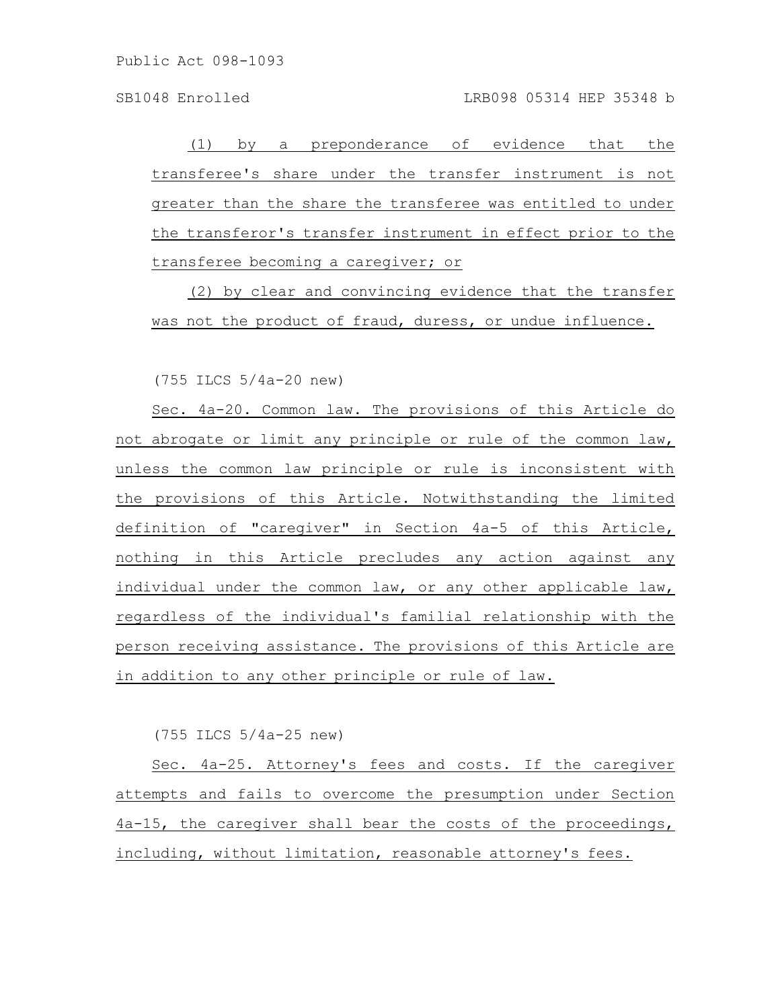### SB1048 Enrolled LRB098 05314 HEP 35348 b

(1) by a preponderance of evidence that the transferee's share under the transfer instrument is not greater than the share the transferee was entitled to under the transferor's transfer instrument in effect prior to the transferee becoming a caregiver; or

(2) by clear and convincing evidence that the transfer was not the product of fraud, duress, or undue influence.

(755 ILCS 5/4a-20 new)

Sec. 4a-20. Common law. The provisions of this Article do not abrogate or limit any principle or rule of the common law, unless the common law principle or rule is inconsistent with the provisions of this Article. Notwithstanding the limited definition of "caregiver" in Section 4a-5 of this Article, nothing in this Article precludes any action against any individual under the common law, or any other applicable law, regardless of the individual's familial relationship with the person receiving assistance. The provisions of this Article are in addition to any other principle or rule of law.

(755 ILCS 5/4a-25 new)

Sec. 4a-25. Attorney's fees and costs. If the caregiver attempts and fails to overcome the presumption under Section 4a-15, the caregiver shall bear the costs of the proceedings, including, without limitation, reasonable attorney's fees.